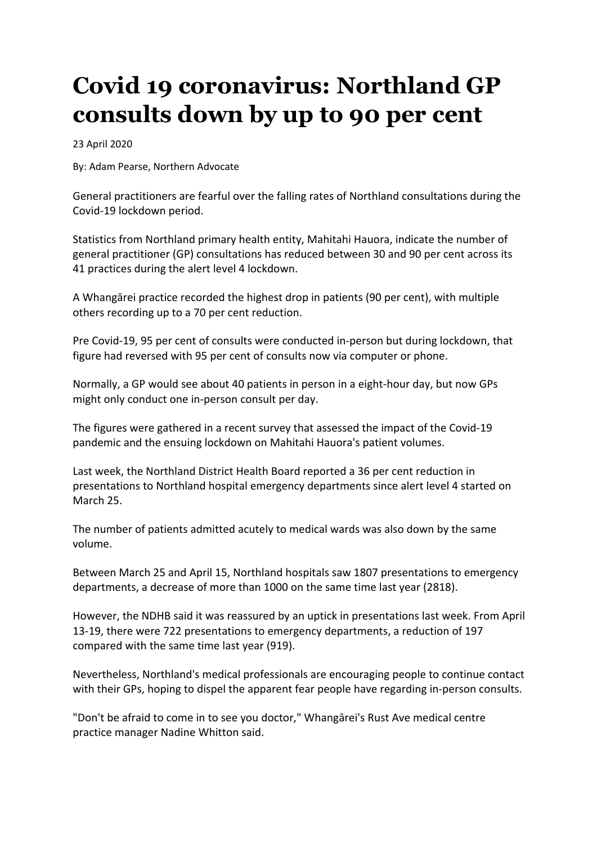## **Covid 19 coronavirus: Northland GP consults down by up to 90 per cent**

23 April 2020

By: Adam Pearse, Northern Advocate

General practitioners are fearful over the falling rates of Northland consultations during the Covid-19 lockdown period.

Statistics from Northland primary health entity, Mahitahi Hauora, indicate the number of general practitioner (GP) consultations has reduced between 30 and 90 per cent across its 41 practices during the alert level 4 lockdown.

A Whangārei practice recorded the highest drop in patients (90 per cent), with multiple others recording up to a 70 per cent reduction.

Pre Covid-19, 95 per cent of consults were conducted in-person but during lockdown, that figure had reversed with 95 per cent of consults now via computer or phone.

Normally, a GP would see about 40 patients in person in a eight-hour day, but now GPs might only conduct one in-person consult per day.

The figures were gathered in a recent survey that assessed the impact of the Covid-19 pandemic and the ensuing lockdown on Mahitahi Hauora's patient volumes.

Last week, the Northland District Health Board reported a 36 per cent reduction in presentations to Northland hospital emergency departments since alert level 4 started on March 25.

The number of patients admitted acutely to medical wards was also down by the same volume.

Between March 25 and April 15, Northland hospitals saw 1807 presentations to emergency departments, a decrease of more than 1000 on the same time last year (2818).

However, the NDHB said it was reassured by an uptick in presentations last week. From April 13-19, there were 722 presentations to emergency departments, a reduction of 197 compared with the same time last year (919).

Nevertheless, Northland's medical professionals are encouraging people to continue contact with their GPs, hoping to dispel the apparent fear people have regarding in-person consults.

"Don't be afraid to come in to see you doctor," Whangārei's Rust Ave medical centre practice manager Nadine Whitton said.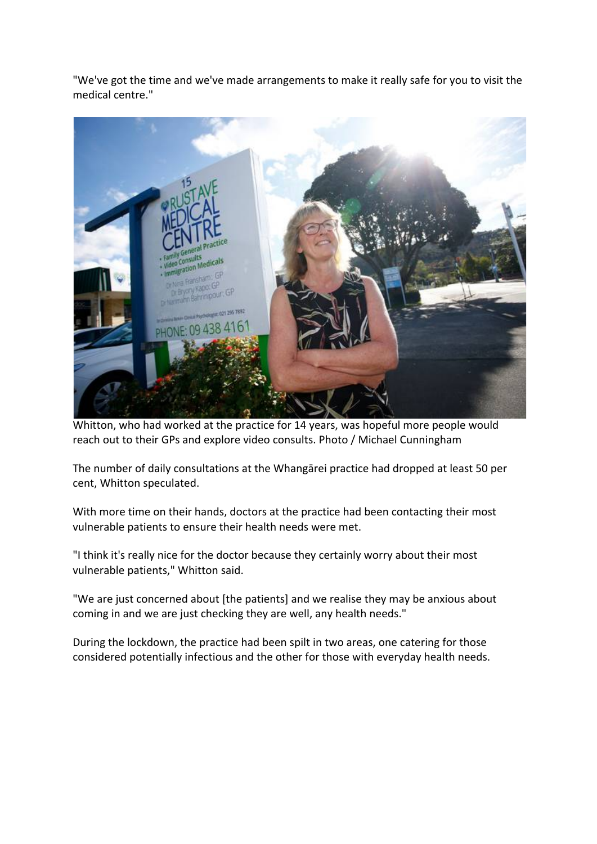"We've got the time and we've made arrangements to make it really safe for you to visit the medical centre."



Whitton, who had worked at the practice for 14 years, was hopeful more people would reach out to their GPs and explore video consults. Photo / Michael Cunningham

The number of daily consultations at the Whangārei practice had dropped at least 50 per cent, Whitton speculated.

With more time on their hands, doctors at the practice had been contacting their most vulnerable patients to ensure their health needs were met.

"I think it's really nice for the doctor because they certainly worry about their most vulnerable patients," Whitton said.

"We are just concerned about [the patients] and we realise they may be anxious about coming in and we are just checking they are well, any health needs."

During the lockdown, the practice had been spilt in two areas, one catering for those considered potentially infectious and the other for those with everyday health needs.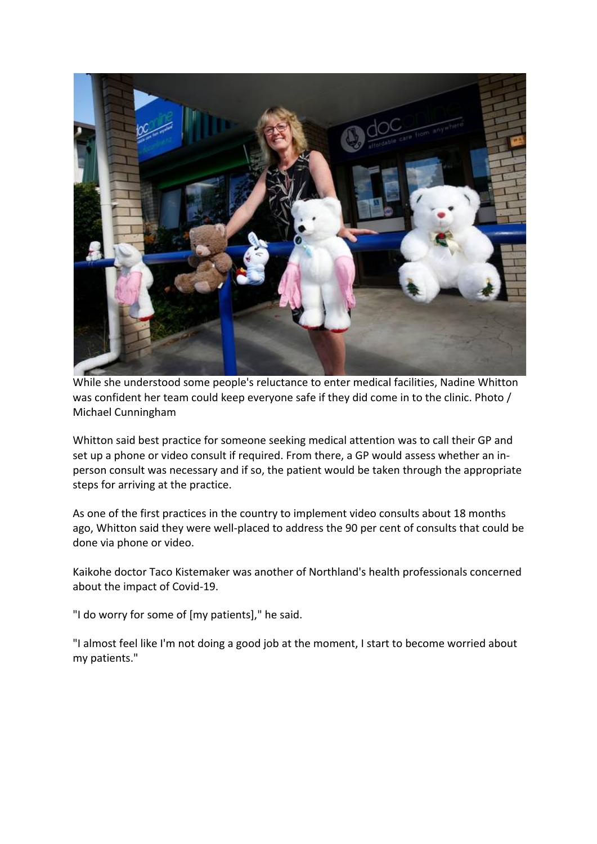

While she understood some people's reluctance to enter medical facilities, Nadine Whitton was confident her team could keep everyone safe if they did come in to the clinic. Photo / Michael Cunningham

Whitton said best practice for someone seeking medical attention was to call their GP and set up a phone or video consult if required. From there, a GP would assess whether an inperson consult was necessary and if so, the patient would be taken through the appropriate steps for arriving at the practice.

As one of the first practices in the country to implement video consults about 18 months ago, Whitton said they were well-placed to address the 90 per cent of consults that could be done via phone or video.

Kaikohe doctor Taco Kistemaker was another of Northland's health professionals concerned about the impact of Covid-19.

"I do worry for some of [my patients]," he said.

"I almost feel like I'm not doing a good job at the moment, I start to become worried about my patients."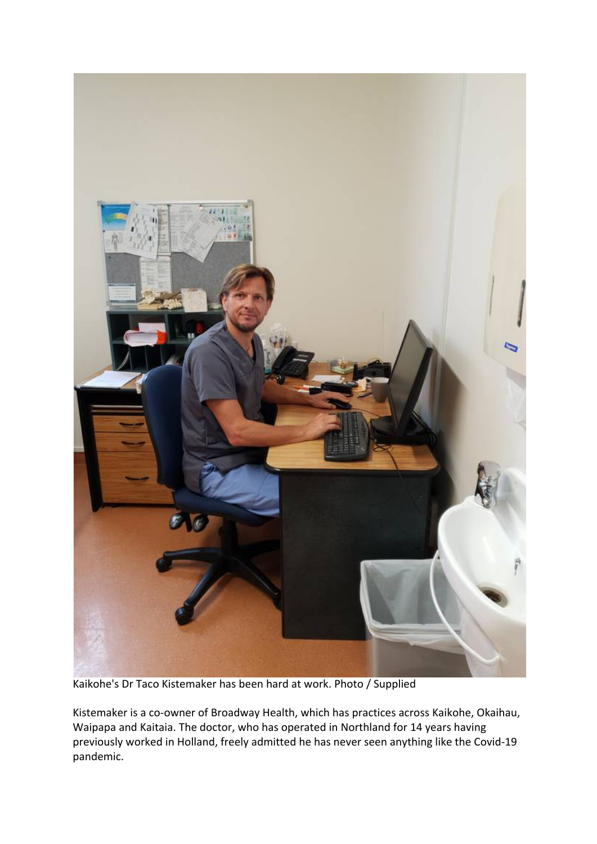

Kaikohe's Dr Taco Kistemaker has been hard at work. Photo / Supplied

Kistemaker is a co-owner of Broadway Health, which has practices across Kaikohe, Okaihau, Waipapa and Kaitaia. The doctor, who has operated in Northland for 14 years having previously worked in Holland, freely admitted he has never seen anything like the Covid-19 pandemic.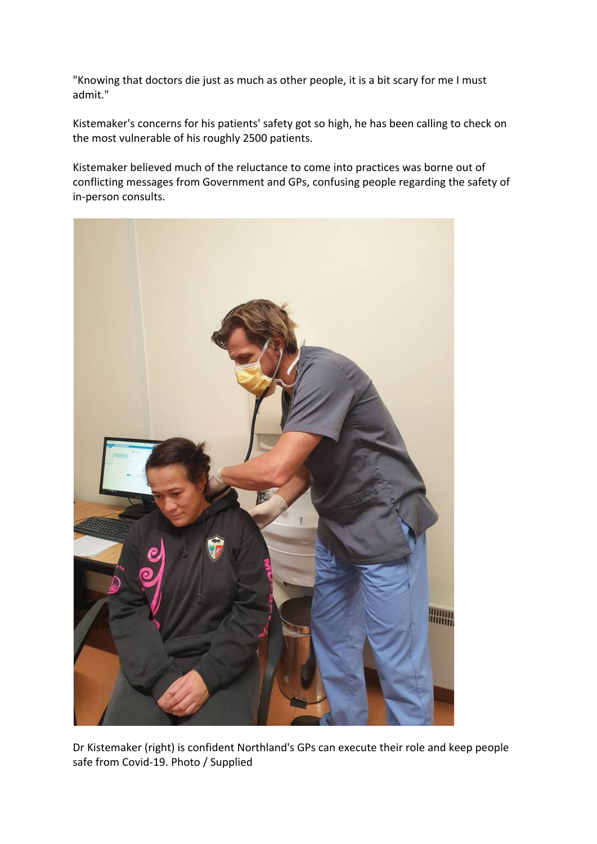"Knowing that doctors die just as much as other people, it is a bit scary for me I must admit."

Kistemaker's concerns for his patients' safety got so high, he has been calling to check on the most vulnerable of his roughly 2500 patients.

Kistemaker believed much of the reluctance to come into practices was borne out of conflicting messages from Government and GPs, confusing people regarding the safety of in-person consults.



Dr Kistemaker (right) is confident Northland's GPs can execute their role and keep people safe from Covid-19. Photo / Supplied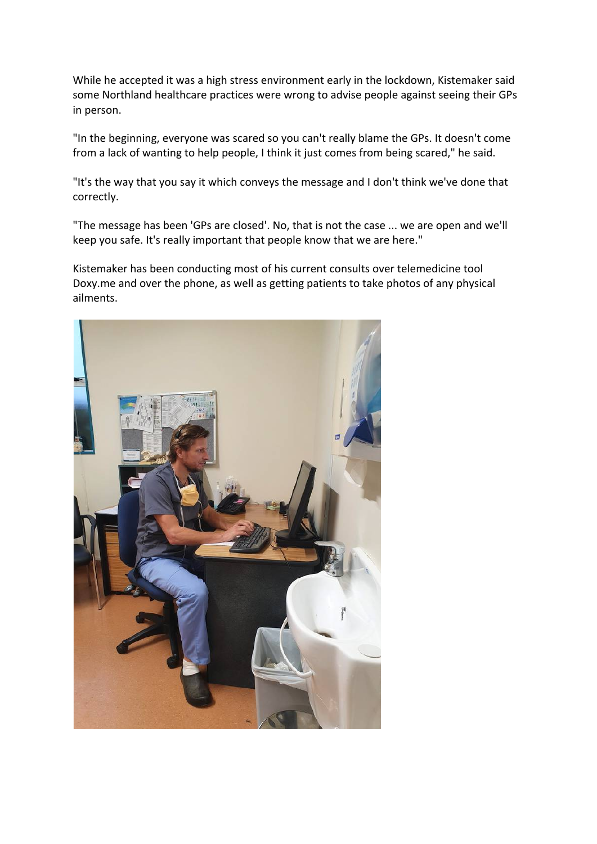While he accepted it was a high stress environment early in the lockdown, Kistemaker said some Northland healthcare practices were wrong to advise people against seeing their GPs in person.

"In the beginning, everyone was scared so you can't really blame the GPs. It doesn't come from a lack of wanting to help people, I think it just comes from being scared," he said.

"It's the way that you say it which conveys the message and I don't think we've done that correctly.

"The message has been 'GPs are closed'. No, that is not the case ... we are open and we'll keep you safe. It's really important that people know that we are here."

Kistemaker has been conducting most of his current consults over telemedicine tool Doxy.me and over the phone, as well as getting patients to take photos of any physical ailments.